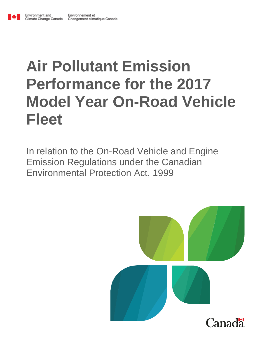# **Air Pollutant Emission Performance for the 2017 Model Year On-Road Vehicle Fleet**

In relation to the On-Road Vehicle and Engine Emission Regulations under the Canadian Environmental Protection Act, 1999

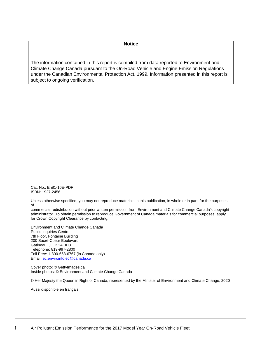#### **Notice**

The information contained in this report is compiled from data reported to Environment and Climate Change Canada pursuant to the On-Road Vehicle and Engine Emission Regulations under the Canadian Environmental Protection Act, 1999. Information presented in this report is subject to ongoing verification.

Cat. No.: En81-10E-PDF ISBN: 1927-2456

Unless otherwise specified, you may not reproduce materials in this publication, in whole or in part, for the purposes of

commercial redistribution without prior written permission from Environment and Climate Change Canada's copyright administrator. To obtain permission to reproduce Government of Canada materials for commercial purposes, apply for Crown Copyright Clearance by contacting:

Environment and Climate Change Canada Public Inquiries Centre 7th Floor, Fontaine Building 200 Sacré-Coeur Boulevard Gatineau QC K1A 0H3 Telephone: 819-997-2800 Toll Free: 1-800-668-6767 (in Canada only) Email[: ec.enviroinfo.ec@canada.ca](mailto:ec.enviroinfo.ec@canada.ca)

Cover photo: © GettyImages.ca Inside photos: © Environment and Climate Change Canada

© Her Majesty the Queen in Right of Canada, represented by the Minister of Environment and Climate Change, 2020

Aussi disponible en français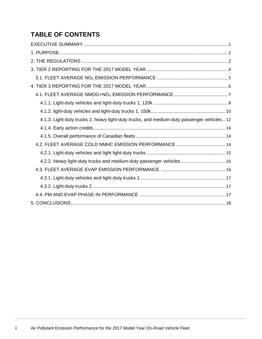## **TABLE OF CONTENTS**

| 4.1.3. Light-duty trucks 2, heavy light-duty trucks, and medium-duty passenger vehicles12 |  |
|-------------------------------------------------------------------------------------------|--|
|                                                                                           |  |
|                                                                                           |  |
|                                                                                           |  |
|                                                                                           |  |
|                                                                                           |  |
| 4.2.2. Heavy light-duty trucks and medium-duty passenger vehicles 16                      |  |
|                                                                                           |  |
|                                                                                           |  |
|                                                                                           |  |
|                                                                                           |  |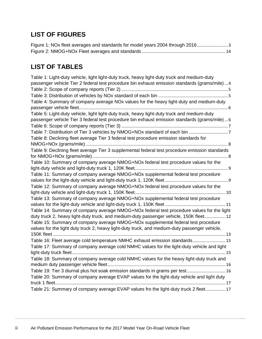## **LIST OF FIGURES**

| Figure 1: NOx fleet averages and standards for model years 2004 through 2016 |  |
|------------------------------------------------------------------------------|--|
|                                                                              |  |

## **LIST OF TABLES**

| Table 1: Light-duty vehicle, light light-duty truck, heavy light-duty truck and medium-duty    |
|------------------------------------------------------------------------------------------------|
| passenger vehicle Tier 2 federal test procedure bin exhaust emission standards (grams/mile)4   |
|                                                                                                |
|                                                                                                |
| Table 4: Summary of company average NOx values for the heavy light-duty and medium-duty        |
|                                                                                                |
| Table 5: Light-duty vehicle, light light-duty truck, heavy light-duty truck and medium-duty    |
| passenger vehicle Tier 3 federal test procedure bin exhaust emission standards (grams/mile)6   |
|                                                                                                |
|                                                                                                |
| Table 8: Declining fleet average Tier 3 federal test procedure emission standards for          |
|                                                                                                |
| Table 9: Declining fleet average Tier 3 supplemental federal test procedure emission standards |
|                                                                                                |
| Table 10: Summary of company average NMOG+NOx federal test procedure values for the            |
|                                                                                                |
| Table 11: Summary of company average NMOG+NOx supplemental federal test procedure              |
|                                                                                                |
| Table 12: Summary of company average NMOG+NOx federal test procedure values for the            |
|                                                                                                |
| Table 13: Summary of company average NMOG+NOx supplemental federal test procedure              |
|                                                                                                |
| Table 14: Summary of company average NMOG+NOx federal test procedure values for the light      |
| duty truck 2, heavy light-duty truck, and medium-duty passenger vehicle, 150K fleet 12         |
| Table 15: Summary of company average NMOG+NOx supplemental federal test procedure              |
| values for the light duty truck 2, heavy light-duty truck, and medium-duty passenger vehicle,  |
|                                                                                                |
| Table 16: Fleet average cold temperature NMHC exhaust emission standards 15                    |
| Table 17: Summary of company average cold NMHC values for the light-duty vehicle and light     |
|                                                                                                |
| Table 18: Summary of company average cold NMHC values for the heavy light-duty truck and       |
|                                                                                                |
| Table 19: Tier 3 diurnal plus hot soak emission standards in grams per test 16                 |
| Table 20: Summary of company average EVAP values for the light-duty vehicle and light duty     |
|                                                                                                |
| Table 21: Summary of company average EVAP values fro the light-duty truck 2 fleet17            |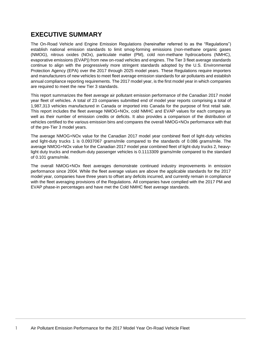## <span id="page-4-0"></span>**EXECUTIVE SUMMARY**

The On-Road Vehicle and Engine Emission Regulations (hereinafter referred to as the "Regulations") establish national emission standards to limit smog-forming emissions (non-methane organic gases (NMOG), nitrous oxides (NOx), particulate matter (PM), cold non-methane hydrocarbons (NMHC), evaporative emissions (EVAP)) from new on-road vehicles and engines. The Tier 3 fleet average standards continue to align with the progressively more stringent standards adopted by the U.S. Environmental Protection Agency (EPA) over the 2017 through 2025 model years. These Regulations require importers and manufacturers of new vehicles to meet fleet average emission standards for air pollutants and establish annual compliance reporting requirements. The 2017 model year, is the first model year in which companies are required to meet the new Tier 3 standards.

This report summarizes the fleet average air pollutant emission performance of the Canadian 2017 model year fleet of vehicles. A total of 23 companies submitted end of model year reports comprising a total of 1,987,313 vehicles manufactured in Canada or imported into Canada for the purpose of first retail sale. This report includes the fleet average NMOG+NOx, cold NMHC and EVAP values for each company as well as their number of emission credits or deficits. It also provides a comparison of the distribution of vehicles certified to the various emission bins and compares the overall NMOG+NOx performance with that of the pre-Tier 3 model years.

The average NMOG+NOx value for the Canadian 2017 model year combined fleet of light-duty vehicles and light-duty trucks 1 is 0.0937067 grams/mile compared to the standards of 0.086 grams/mile. The average NMOG+NOx value for the Canadian 2017 model year combined fleet of light-duty trucks 2, heavylight duty trucks and medium-duty passenger vehicles is 0.1113309 grams/mile compared to the standard of 0.101 grams/mile.

The overall NMOG+NOx fleet averages demonstrate continued industry improvements in emission performance since 2004. While the fleet average values are above the applicable standards for the 2017 model year, companies have three years to offset any deficits incurred, and currently remain in compliance with the fleet averaging provisions of the Regulations. All companies have complied with the 2017 PM and EVAP phase-in percentages and have met the Cold NMHC fleet average standards.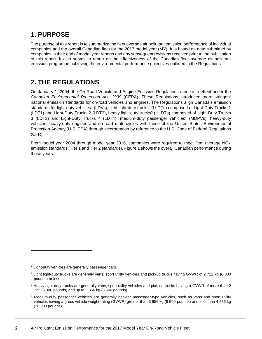## <span id="page-5-0"></span>**1. PURPOSE**

The purpose of this report is to summarize the fleet average air pollutant emission performance of individual companies and the overall Canadian fleet for the 2017 model year (MY). It is based on data submitted by companies in their end of model year reports and any subsequent revisions received prior to the publication of this report. It also serves to report on the effectiveness of the Canadian fleet average air pollutant emission program in achieving the environmental performance objectives outlined in the Regulations.

## <span id="page-5-1"></span>**2. THE REGULATIONS**

On January 1, 2004, the On-Road Vehicle and Engine Emission Regulations came into effect under the *Canadian Environmental Protection Act, 1999* (CEPA). These Regulations introduced more stringent national emission standards for on-road vehicles and engines. The Regulations align Canada's emission standards for light-duty vehicles<sup>1</sup> (LDVs), light light-duty trucks<sup>2</sup> (LLDTs) composed of Light-Duty Trucks 1 (LDT1) and Light-Duty Trucks 2 (LDT2), heavy light-duty trucks<sup>3</sup> (HLDTs) composed of Light-Duty Trucks 3 (LDT3) and Light-Duty Trucks 4 (LDT4), medium-duty passenger vehicles<sup>4</sup> (MDPVs), heavy-duty vehicles, heavy-duty engines and on-road motorcycles with those of the United States Environmental Protection Agency (U.S. EPA) through incorporation by reference to the U.S. Code of Federal Regulations (CFR).

From model year 2004 through model year 2016, companies were required to meet fleet average NOx emission standards (Tier 1 and Tier 2 standards). [Figure 1](#page-6-0) shows the overall Canadian performance during those years.

 $\overline{\phantom{a}}$ 

<sup>&</sup>lt;sup>1</sup> Light-duty vehicles are generally passenger cars.

<sup>2</sup> Light light-duty trucks are generally vans, sport utility vehicles and pick-up trucks having GVWR of 2 722 kg (6 000 pounds) or less.

<sup>3</sup> Heavy light-duty trucks are generally vans, sport utility vehicles and pick-up trucks having a GVWR of more than 2 722 (6 000 pounds) and up to 3 856 kg (8 500 pounds).

<sup>4</sup> Medium-duty passenger vehicles are generally heavier passenger-type vehicles, such as vans and sport utility vehicles having a gross vehicle weight rating (GVWR) greater than 3 856 kg (8 500 pounds) and less than 4 536 kg (10 000 pounds).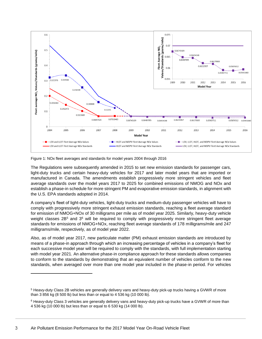

<span id="page-6-0"></span>Figure 1: NOx fleet averages and standards for model years 2004 through 2016

The Regulations were subsequently amended in 2015 to set new emission standards for passenger cars, light-duty trucks and certain heavy-duty vehicles for 2017 and later model years that are imported or manufactured in Canada. The amendments establish progressively more stringent vehicles and fleet average standards over the model years 2017 to 2025 for combined emissions of NMOG and NOx and establish a phase-in schedule for more stringent PM and evaporative emission standards, in alignment with the U.S. EPA standards adopted in 2014.

A company's fleet of light-duty vehicles, light-duty trucks and medium-duty passenger vehicles will have to comply with progressively more stringent exhaust emission standards, reaching a fleet average standard for emission of NMOG+NOx of 30 milligrams per mile as of model year 2025. Similarly, heavy-duty vehicle weight classes  $2B<sup>5</sup>$  and  $3<sup>6</sup>$  will be required to comply with progressively more stringent fleet average standards for emissions of NMOG+NOx, reaching fleet average standards of 178 milligrams/mile and 247 milligrams/mile, respectively, as of model year 2022.

Also, as of model year 2017, new particulate matter (PM) exhaust emission standards are introduced by means of a phase-in approach through which an increasing percentage of vehicles in a company's fleet for each successive model year will be required to comply with the standards, with full implementation starting with model year 2021. An alternative phase-in compliance approach for these standards allows companies to conform to the standards by demonstrating that an equivalent number of vehicles conform to the new standards, when averaged over more than one model year included in the phase-in period. For vehicles

l

<sup>5</sup> Heavy-duty Class 2B vehicles are generally delivery vans and heavy-duty pick-up trucks having a GVWR of more than 3 856 kg (8 500 lb) but less than or equal to 4 536 kg (10 000 lb).

<sup>6</sup> Heavy-duty Class 3 vehicles are generally delivery vans and heavy-duty pick-up trucks have a GVWR of more than 4 536 kg (10 000 lb) but less than or equal to 6 530 kg (14 000 lb).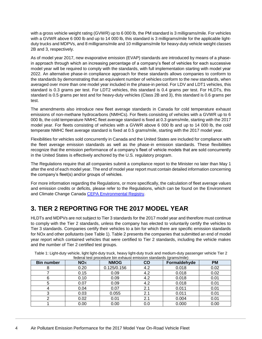with a gross vehicle weight rating (GVWR) up to 6 000 lb, the PM standard is 3 milligrams/mile. For vehicles with a GVWR above 6 000 lb and up to 14 000 lb, this standard is 3 milligrams/mile for the applicable lightduty trucks and MDPVs, and 8 milligrams/mile and 10 milligrams/mile for heavy-duty vehicle weight classes 2B and 3, respectively.

As of model year 2017, new evaporative emission (EVAP) standards are introduced by means of a phasein approach through which an increasing percentage of a company's fleet of vehicles for each successive model year will be required to comply with the standards, with full implementation starting with model year 2022. An alternative phase-in compliance approach for these standards allows companies to conform to the standards by demonstrating that an equivalent number of vehicles conform to the new standards, when averaged over more than one model year included in the phase-in period. For LDV and LDT1 vehicles, this standard is 0.3 grams per test. For LDT2 vehicles, this standard is 0.4 grams per test. For HLDTs, this standard is 0.5 grams per test and for heavy-duty vehicles (Class 2B and 3), this standard is 0.6 grams per test.

The amendments also introduce new fleet average standards in Canada for cold temperature exhaust emissions of non-methane hydrocarbons (NMHCs). For fleets consisting of vehicles with a GVWR up to 6 000 lb, the cold temperature NMHC fleet average standard is fixed at 0.3 grams/mile, starting with the 2017 model year. For fleets consisting of vehicles with a GVWR above 6 000 lb and up to 14 000 lb, the cold temperate NMHC fleet average standard is fixed at 0.5 grams/mile, starting with the 2017 model year.

Flexibilities for vehicles sold concurrently in Canada and the United States are included for compliance with the fleet average emission standards as well as the phase-in emission standards. These flexibilities recognize that the emission performance of a company's fleet of vehicle models that are sold concurrently in the United States is effectively anchored by the U.S. regulatory program.

The Regulations require that all companies submit a compliance report to the Minister no later than May 1 after the end of each model year. The end of model year report must contain detailed information concerning the company's fleet(s) and/or groups of vehicles.

For more information regarding the Regulations, or more specifically, the calculation of fleet average values and emission credits or deficits, please refer to the Regulations, which can be found on the Environment and Climate Change Canada [CEPA Environmental Registry.](http://ec.gc.ca/lcpe-cepa/eng/regulations/detailReg.cfm?intReg=65)

## <span id="page-7-0"></span>**3. TIER 2 REPORTING FOR THE 2017 MODEL YEAR**

HLDTs and MDPVs are not subject to Tier 3 standards for the 2017 model year and therefore must continue to comply with the Tier 2 standards, unless the company has elected to voluntarily certify the vehicles to Tier 3 standards. Companies certify their vehicles to a bin for which there are specific emission standards for NOx and other pollutants (see [Table 1\)](#page-7-1). [Table 2](#page-8-1) presents the companies that submitted an end of model year report which contained vehicles that were certified to Tier 2 standards, including the vehicle makes and the number of Tier 2 certified test groups.

| federal test procedure bin exhaust emission standards (grams/mile) |                        |             |           |              |           |
|--------------------------------------------------------------------|------------------------|-------------|-----------|--------------|-----------|
| <b>Bin number</b>                                                  | <b>NO</b> <sub>x</sub> | <b>NMOG</b> | <b>CO</b> | Formaldehyde | <b>PM</b> |
| 8                                                                  | 0.20                   | 0.125/0.156 | 4.2       | 0.018        | 0.02      |
|                                                                    | 0.15                   | 0.09        | 4.2       | 0.018        | 0.02      |
| 6                                                                  | 0.10                   | 0.09        | 4.2       | 0.018        | 0.01      |
| 5                                                                  | 0.07                   | 0.09        | 4.2       | 0.018        | 0.01      |
|                                                                    | 0.04                   | 0.07        | 2.1       | 0.011        | 0.01      |
| 3                                                                  | 0.03                   | 0.055       | 2.1       | 0.011        | 0.01      |
| າ                                                                  | 0.02                   | 0.01        | 2.1       | 0.004        | 0.01      |
|                                                                    | 0.00                   | 0.00        | 0.0       | 0.000        | 0.00      |

<span id="page-7-1"></span>Table 1: Light-duty vehicle, light light-duty truck, heavy light-duty truck and medium-duty passenger vehicle Tier 2 federal test procedure bin exhaust emission standards (grams/mile)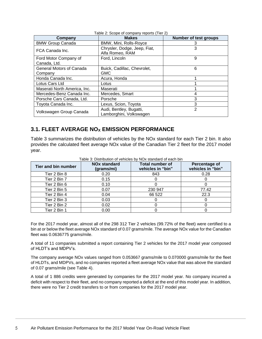<span id="page-8-1"></span>

| Company                      | <b>Makes</b>                                       | <b>Number of test groups</b> |
|------------------------------|----------------------------------------------------|------------------------------|
| <b>BMW Group Canada</b>      | BMW, Mini, Rolls-Royce                             |                              |
| FCA Canada Inc.              | Chrysler, Dodge, Jeep, Fiat,<br>Alfa Romeo, RAM    | 3                            |
| Ford Motor Company of        | Ford, Lincoln                                      | 9                            |
| Canada, Ltd.                 |                                                    |                              |
| General Motors of Canada     | Buick, Cadillac, Chevrolet,                        | 6                            |
| Company                      | <b>GMC</b>                                         |                              |
| Honda Canada Inc.            | Acura, Honda                                       |                              |
| Lotus Cars Ltd               | Lotus                                              |                              |
| Maserati North America, Inc. | Maserati                                           |                              |
| Mercedes-Benz Canada Inc.    | Mercedes, Smart                                    | 4                            |
| Porsche Cars Canada, Ltd.    | Porsche                                            | 3                            |
| Toyota Canada Inc.           | Lexus, Scion, Toyota                               | 3                            |
| Volkswagen Group Canada      | Audi, Bentley, Bugatti,<br>Lamborghini, Volkswagen | $\overline{2}$               |

#### Table 2: Scope of company reports (Tier 2)

#### <span id="page-8-0"></span>**3.1. FLEET AVERAGE NO<sup>X</sup> EMISSION PERFORMANCE**

[Table 3](#page-8-2) summarizes the distribution of vehicles by the NOx standard for each Tier 2 bin. It also provides the calculated fleet average NOx value of the Canadian Tier 2 fleet for the 2017 model year.

<span id="page-8-2"></span>

| Tier and bin number | <b>NOx standard</b><br>(grams/mi) | <b>Total number of</b><br>vehicles in "bin" | Percentage of<br>vehicles in "bin" |
|---------------------|-----------------------------------|---------------------------------------------|------------------------------------|
| Tier 2 Bin 8        | 0.20                              | 843                                         | 0.28                               |
| Tier 2 Bin 7        | 0.15                              |                                             |                                    |
| Tier 2 Bin 6        | 0.10                              |                                             |                                    |
| Tier 2 Bin 5        | 0.07                              | 230 947                                     | 77.42                              |
| Tier 2 Bin 4        | 0.04                              | 66 522                                      | 22.3                               |
| Tier 2 Bin 3        | 0.03                              |                                             |                                    |
| Tier 2 Bin 2        | 0.02                              |                                             |                                    |
| Tier 2 Bin 1        | 0.00                              |                                             |                                    |

Table 3: Distribution of vehicles by NOx standard of each bin

For the 2017 model year, almost all of the 298 312 Tier 2 vehicles (99.72% of the fleet) were certified to a bin at or below the fleet average NOx standard of 0.07 grams/mile. The average NOx value for the Canadian fleet was 0.0636775 grams/mile.

A total of 11 companies submitted a report containing Tier 2 vehicles for the 2017 model year composed of HLDT's and MDPV's.

The company average NOx values ranged from 0.053667 grams/mile to 0.070000 grams/mile for the fleet of HLDTs, and MDPVs, and no companies reported a fleet average NOx value that was above the standard of 0.07 grams/mile (see [Table 4\)](#page-9-1).

A total of 1 886 credits were generated by companies for the 2017 model year. No company incurred a deficit with respect to their fleet, and no company reported a deficit at the end of this model year. In addition, there were no Tier 2 credit transfers to or from companies for the 2017 model year.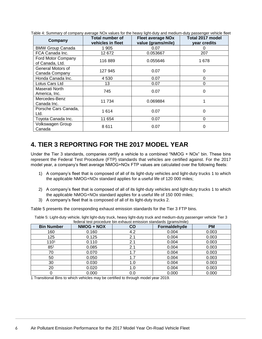| Company                               | <b>Total number of</b><br>vehicles in fleet | <b>Fleet average NOx</b><br>value (grams/mile) | Total 2017 model<br>year credits |
|---------------------------------------|---------------------------------------------|------------------------------------------------|----------------------------------|
| <b>BMW Group Canada</b>               | 1905                                        | 0.07                                           | 0                                |
| FCA Canada Inc.                       | 12672                                       | 0.053667                                       | 207                              |
| Ford Motor Company<br>of Canada, Ltd. | 116889                                      | 0.055646                                       | 1678                             |
| General Motors of<br>Canada Company   | 127 945                                     | 0.07                                           | 0                                |
| Honda Canada Inc.                     | 4 530                                       | 0.07                                           | $\Omega$                         |
| Lotus Cars Ltd                        | 13                                          | 0.07                                           | $\Omega$                         |
| Maserati North<br>America, Inc.       | 745                                         | 0.07                                           | 0                                |
| Mercedes-Benz<br>Canada Inc.          | 11734                                       | 0.069884                                       |                                  |
| Porsche Cars Canada,<br>Ltd.          | 1614                                        | 0.07                                           | 0                                |
| Toyota Canada Inc.                    | 11 654                                      | 0.07                                           | $\Omega$                         |
| Volkswagen Group<br>Canada            | 8611                                        | 0.07                                           | 0                                |

<span id="page-9-1"></span>Table 4: Summary of company average NOx values for the heavy light-duty and medium-duty passenger vehicle fleet

### <span id="page-9-0"></span>**4. TIER 3 REPORTING FOR THE 2017 MODEL YEAR**

Under the Tier 3 standards, companies certify a vehicle to a combined "NMOG + NOx" bin. These bins represent the Federal Test Procedure (FTP) standards that vehicles are certified against. For the 2017 model year, a company's fleet average NMOG+NOx FTP values are calculated over the following fleets:

- 1) A company's fleet that is composed of all of its light-duty vehicles and light-duty trucks 1 to which the applicable NMOG+NOx standard applies for a useful life of 120 000 miles;
- 2) A company's fleet that is composed of all of its light-duty vehicles and light-duty trucks 1 to which the applicable NMOG+NOx standard applies for a useful life of 150 000 miles;
- 3) A company's fleet that is composed of all of its light-duty trucks 2.

Table 5 presents the corresponding exhaust emission standards for the Tier 3 FTP bins.

<span id="page-9-2"></span>Table 5: Light-duty vehicle, light light-duty truck, heavy light-duty truck and medium-duty passenger vehicle Tier 3 federal test procedure bin exhaust emission standards (grams/mile)

| <b>Bin Number</b> | NMOG + NOX | $\overline{c}$ | Formaldehyde | <b>PM</b> |
|-------------------|------------|----------------|--------------|-----------|
| 160               | 0.160      | 4.2            | 0.004        | 0.003     |
| 125               | 0.125      | 2.1            | 0.004        | 0.003     |
| 1101              | 0.110      | 2.1            | 0.004        | 0.003     |
| $85^{1}$          | 0.085      | 2.1            | 0.004        | 0.003     |
| 70                | 0.070      | 1.7            | 0.004        | 0.003     |
| 50                | 0.050      | 1.7            | 0.004        | 0.003     |
| 30                | 0.030      | 1.0            | 0.004        | 0.003     |
| 20                | 0.020      | 1.0            | 0.004        | 0.003     |
|                   | 0.000      | 0.0            | 0.000        | 0.000     |

1 Transitional Bins to which vehicles may be certified to through model year 2019.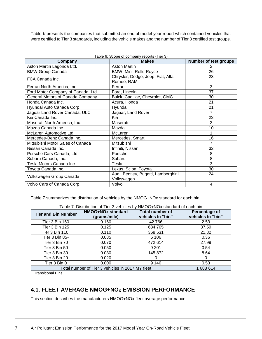<span id="page-10-3"></span>[Table](#page-10-3) *6* presents the companies that submitted an end of model year report which contained vehicles that were certified to Tier 3 standards, including the vehicle makes and the number of Tier 3 certified test groups.

<span id="page-10-1"></span>

| Table 6: Scope of company reports (Tier 3) |                                                    |                              |  |  |
|--------------------------------------------|----------------------------------------------------|------------------------------|--|--|
| Company                                    | <b>Makes</b>                                       | <b>Number of test groups</b> |  |  |
| Aston Martin Lagonda Ltd.                  | <b>Aston Martin</b>                                | 2                            |  |  |
| <b>BMW Group Canada</b>                    | BMW, Mini, Rolls-Royce                             | 26                           |  |  |
| FCA Canada Inc.                            | Chrysler, Dodge, Jeep, Fiat, Alfa<br>Romeo, RAM    | 23                           |  |  |
| Ferrari North America, Inc.                | Ferrari                                            | 3                            |  |  |
| Ford Motor Company of Canada, Ltd.         | Ford, Lincoln                                      | 37                           |  |  |
| General Motors of Canada Company           | Buick, Cadillac, Chevrolet, GMC                    | 30                           |  |  |
| Honda Canada Inc.                          | Acura, Honda                                       | 21                           |  |  |
| Hyundai Auto Canada Corp.                  | Hyundai                                            | 21                           |  |  |
| Jaguar Land Rover Canada, ULC              | Jaguar, Land Rover                                 | 7                            |  |  |
| Kia Canada Inc.                            | Kia                                                | 23                           |  |  |
| Maserati North America, Inc.               | Maserati                                           | 3                            |  |  |
| Mazda Canada Inc.                          | Mazda                                              | 10                           |  |  |
| McLaren Automotive Ltd.                    | McLaren                                            |                              |  |  |
| Mercedes-Benz Canada Inc.                  | Mercedes, Smart                                    | 16                           |  |  |
| Mitsubishi Motor Sales of Canada           | Mitsubishi                                         |                              |  |  |
| Nissan Canada Inc.                         | Infiniti, Nissan                                   | 32                           |  |  |
| Porsche Cars Canada, Ltd.                  | Porsche                                            | 8                            |  |  |
| Subaru Canada, Inc.                        | Subaru                                             | 8                            |  |  |
| Tesla Motors Canada Inc.                   | Tesla                                              | 3                            |  |  |
| Toyota Canada Inc.                         | Lexus, Scion, Toyota                               | 30                           |  |  |
| Volkswagen Group Canada                    | Audi, Bentley, Bugatti, Lamborghini,<br>Volkswagen | 24                           |  |  |
| Volvo Cars of Canada Corp.                 | Volvo                                              | 4                            |  |  |

[Table 7](#page-10-2) summarizes the distribution of vehicles by the NMOG+NOx standard for each bin.

Table 7: Distribution of Tier 3 vehicles by NMOG+NOx standard of each bin

<span id="page-10-2"></span>

| <b>Tier and Bin Number</b>                                  | <b>NMOG+NOx standard</b><br>(grams/mile) | <b>Total number of</b><br>vehicles in "bin" | Percentage of<br>vehicles in "bin" |  |
|-------------------------------------------------------------|------------------------------------------|---------------------------------------------|------------------------------------|--|
| Tier 3 Bin 160                                              | 0.160                                    | 42 766                                      | 2.53                               |  |
| Tier 3 Bin 125                                              | 0.125                                    | 634 765                                     | 37.59                              |  |
| Tier 3 Bin 110 <sup>1</sup>                                 | 0.110                                    | 368 531                                     | 21.82                              |  |
| Tier $3$ Bin $851$                                          | 0.085                                    | 6 10 6                                      | 0.36                               |  |
| Tier 3 Bin 70                                               | 0.070                                    | 472 614                                     | 27.99                              |  |
| Tier 3 Bin 50                                               | 0.050                                    | 9 2 0 1                                     | 0.54                               |  |
| Tier 3 Bin 30                                               | 0.030                                    | 145 872                                     | 8.64                               |  |
| Tier 3 Bin 20                                               | 0.020                                    | $\Omega$                                    |                                    |  |
| Tier 3 Bin 0                                                | 0.000                                    | 9 1 4 6                                     | 0.53                               |  |
| Total number of Tier 3 vehicles in 2017 MY fleet<br>1688614 |                                          |                                             |                                    |  |

1 Transitional Bins

#### <span id="page-10-0"></span>**4.1. FLEET AVERAGE NMOG+NO<sup>X</sup> EMISSION PERFORMANCE**

This section describes the manufacturers NMOG+NOx fleet average performance.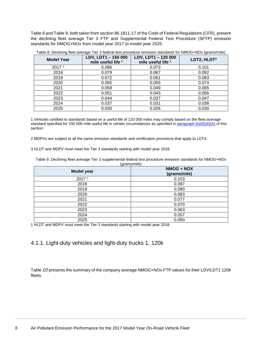[Table 8](#page-11-1) an[d Table 9,](#page-11-2) both taken from section 86.1811-17 of the Code of Federal Regulations (CFR), present the declining fleet average Tier 3 FTP and Supplemental Federal Test Procedure (SFTP) emission standards for NMOG+NOx from model year 2017 to model year 2025.

| <b>Model Year</b> | LDV, LDT1 - 150 000<br>mile useful life <sup>1</sup> | LDV, LDT1 - 120 000<br>mile useful life <sup>1</sup> | LDT2, HLDT <sup>2</sup> |
|-------------------|------------------------------------------------------|------------------------------------------------------|-------------------------|
| 2017 <sup>3</sup> | 0.086                                                | 0.073                                                | 0.101                   |
| 2018              | 0.079                                                | 0.067                                                | 0.092                   |
| 2019              | 0.072                                                | 0.061                                                | 0.083                   |
| 2020              | 0.065                                                | 0.055                                                | 0.074                   |
| 2021              | 0.058                                                | 0.049                                                | 0.065                   |
| 2022              | 0.051                                                | 0.043                                                | 0.056                   |
| 2023              | 0.044                                                | 0.037                                                | 0.047                   |
| 2024              | 0.037                                                | 0.031                                                | 0.038                   |
| 2025              | 0.030                                                | 0.026                                                | 0.030                   |

<span id="page-11-1"></span>Table 8: Declining fleet average Tier 3 federal test procedure emission standards for NMOG+NOx (grams/mile)

1 Vehicles certified to standards based on a useful life of 120 000 miles may comply based on the fleet-average standard specified for 150 000 mile useful life in certain circumstances as specified i[n paragraph \(b\)\(8\)\(iii\)\(A\)](https://www.law.cornell.edu/cfr/text/40/86.1811-17#b_8_iii_A) of this section.

2 MDPVs are subject to all the same emission standards and certification provisions that apply to LDT4.

3 HLDT and MDPV must meet the Tier 3 standards starting with model year 2018.

<span id="page-11-2"></span>Table 9: Declining fleet average Tier 3 supplemental federal test procedure emission standards for NMOG+NOx (grams/mile)

| <b>Model year</b> | NMOG + NOX<br>(grams/mile) |
|-------------------|----------------------------|
| 2017 <sup>1</sup> | 0.103                      |
| 2018              | 0.097                      |
| 2019              | 0.090                      |
| 2020              | 0.083                      |
| 2021              | 0.077                      |
| 2022              | 0.070                      |
| 2023              | 0.063                      |
| 2024              | 0.057                      |
| 2025              | 0.050                      |

1 HLDT and MDPV must meet the Tier 3 standards starting with model year 2018.

#### <span id="page-11-0"></span>4.1.1. Light-duty vehicles and light-duty trucks 1, 120k

<span id="page-11-3"></span>[Table](#page-11-3) *10* presents the summary of the company average NMOG+NOx FTP values for their LDV/LDT1 120k fleets.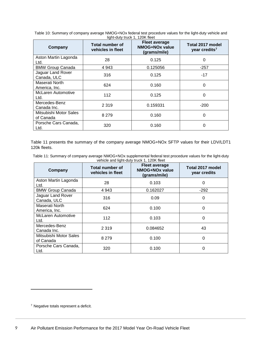<span id="page-12-0"></span>

| Table 10: Summary of company average NMOG+NOx federal test procedure values for the light-duty vehicle and |
|------------------------------------------------------------------------------------------------------------|
| light-duty truck 1, 120K fleet                                                                             |

| Company                             | Total number of<br>vehicles in fleet | <b>Fleet average</b><br><b>NMOG+NOx value</b><br>(grams/mile) | Total 2017 model<br>year credits <sup>7</sup> |
|-------------------------------------|--------------------------------------|---------------------------------------------------------------|-----------------------------------------------|
| Aston Martin Lagonda<br>Ltd.        | 28                                   | 0.125                                                         | 0                                             |
| <b>BMW Group Canada</b>             | 4 9 4 3                              | 0.125056                                                      | $-257$                                        |
| Jaguar Land Rover<br>Canada, ULC    | 316                                  | 0.125                                                         | $-17$                                         |
| Maserati North<br>America, Inc.     | 624                                  | 0.160                                                         | 0                                             |
| McLaren Automotive<br>Ltd.          | 112                                  | 0.125                                                         | 0                                             |
| Mercedes-Benz<br>Canada Inc.        | 2 3 1 9                              | 0.159331                                                      | $-200$                                        |
| Mitsubishi Motor Sales<br>of Canada | 8 2 7 9                              | 0.160                                                         | 0                                             |
| Porsche Cars Canada,<br>Ltd.        | 320                                  | 0.160                                                         | 0                                             |

[Table 11](#page-12-1) presents the summary of the company average NMOG+NOx SFTP values for their LDV/LDT1 120k fleets.

<span id="page-12-1"></span>

| Table 11: Summary of company average NMOG+NOx supplemental federal test procedure values for the light-duty |
|-------------------------------------------------------------------------------------------------------------|
| vehicle and light-duty truck 1, 120K fleet                                                                  |

| Company                             | Total number of<br>vehicles in fleet | <b>Fleet average</b><br>NMOG+NOx value<br>(grams/mile) | Total 2017 model<br>year credits |
|-------------------------------------|--------------------------------------|--------------------------------------------------------|----------------------------------|
| Aston Martin Lagonda<br>Ltd.        | 28                                   | 0.103                                                  | 0                                |
| <b>BMW Group Canada</b>             | 4 9 4 3                              | 0.162027                                               | $-292$                           |
| Jaguar Land Rover<br>Canada, ULC    | 316                                  | 0.09                                                   | 0                                |
| Maserati North<br>America, Inc.     | 624                                  | 0.100                                                  | 0                                |
| <b>McLaren Automotive</b><br>Ltd.   | 112                                  | 0.103                                                  | $\Omega$                         |
| Mercedes-Benz<br>Canada Inc.        | 2 3 1 9                              | 0.084652                                               | 43                               |
| Mitsubishi Motor Sales<br>of Canada | 8 2 7 9                              | 0.100                                                  | $\Omega$                         |
| Porsche Cars Canada,<br>Ltd.        | 320                                  | 0.100                                                  | 0                                |

<sup>7</sup> Negative totals represent a deficit.

 $\overline{\phantom{a}}$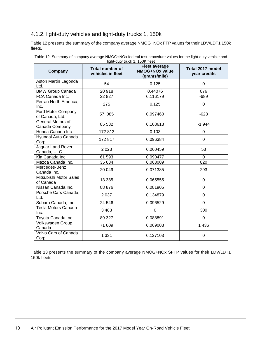#### <span id="page-13-0"></span>4.1.2. light-duty vehicles and light-duty trucks 1, 150k

[Table 12](#page-13-1) presents the summary of the company average NMOG+NOx FTP values for their LDV/LDT1 150k fleets.

| Company                               | <b>Total number of</b><br>vehicles in fleet | <b>Fleet average</b><br><b>NMOG+NOx value</b><br>(grams/mile) | Total 2017 model<br>year credits |
|---------------------------------------|---------------------------------------------|---------------------------------------------------------------|----------------------------------|
| Aston Martin Lagonda<br>Ltd.          | 54                                          | 0.125                                                         | $\Omega$                         |
| <b>BMW Group Canada</b>               | 20918                                       | 0.44076                                                       | 876                              |
| FCA Canada Inc.                       | 22 8 27                                     | 0.116179                                                      | $-689$                           |
| Ferrari North America,<br>Inc.        | 275                                         | 0.125                                                         | 0                                |
| Ford Motor Company<br>of Canada, Ltd. | 57 085                                      | 0.097460                                                      | $-628$                           |
| General Motors of<br>Canada Company   | 85 5 82                                     | 0.108613                                                      | $-1944$                          |
| Honda Canada Inc.                     | 172 813                                     | 0.103                                                         | 0                                |
| Hyundai Auto Canada<br>Corp.          | 172817                                      | 0.096384                                                      | 0                                |
| Jaguar Land Rover<br>Canada, ULC      | 2023                                        | 0.060459                                                      | 53                               |
| Kia Canada Inc.                       | 61 593                                      | 0.090477                                                      | $\Omega$                         |
| Mazda Canada Inc.                     | 35 684                                      | 0.063009                                                      | 820                              |
| Mercedes-Benz<br>Canada Inc.          | 20 049                                      | 0.071385                                                      | 293                              |
| Mitsubishi Motor Sales<br>of Canada   | 13 3 8 5                                    | 0.065555                                                      | 0                                |
| Nissan Canada Inc.                    | 88 876                                      | 0.081905                                                      | 0                                |
| Porsche Cars Canada,<br>Ltd.          | 2 0 3 7                                     | 0.134879                                                      | 0                                |
| Subaru Canada, Inc.                   | 24 546                                      | 0.096529                                                      | $\Omega$                         |
| Tesla Motors Canada<br>Inc.           | 3 4 8 3                                     | 0                                                             | 300                              |
| Toyota Canada Inc.                    | 89 327                                      | 0.088891                                                      | $\Omega$                         |
| Volkswagen Group<br>Canada            | 71 609                                      | 0.069003                                                      | 1 4 3 6                          |
| Volvo Cars of Canada<br>Corp.         | 1 3 3 1                                     | 0.127103                                                      | 0                                |

<span id="page-13-1"></span>Table 12: Summary of company average NMOG+NOx federal test procedure values for the light-duty vehicle and light-duty truck 1, 150K fleet

[Table 13](#page-14-0) presents the summary of the company average NMOG+NOx SFTP values for their LDV/LDT1 150k fleets.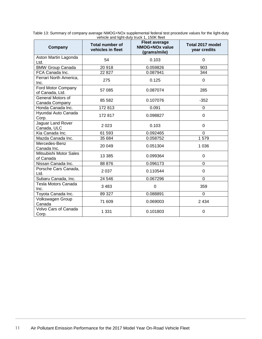| vorhold and light daty track it, room hoot |                                             |                                                               |                                  |  |
|--------------------------------------------|---------------------------------------------|---------------------------------------------------------------|----------------------------------|--|
| Company                                    | <b>Total number of</b><br>vehicles in fleet | <b>Fleet average</b><br><b>NMOG+NOx value</b><br>(grams/mile) | Total 2017 model<br>year credits |  |
| Aston Martin Lagonda<br>Ltd.               | 54                                          | 0.103                                                         | $\mathbf 0$                      |  |
| <b>BMW Group Canada</b>                    | 20918                                       | 0.059826                                                      | 903                              |  |
| FCA Canada Inc.                            | 22 8 27                                     | 0.087941                                                      | 344                              |  |
| Ferrari North America,<br>Inc.             | 275                                         | 0.125                                                         | 0                                |  |
| Ford Motor Company<br>of Canada, Ltd.      | 57 085                                      | 0.087074                                                      | 285                              |  |
| General Motors of<br>Canada Company        | 85 582                                      | 0.107076                                                      | $-352$                           |  |
| Honda Canada Inc.                          | 172813                                      | 0.091                                                         | 0                                |  |
| Hyundai Auto Canada<br>Corp.               | 172817                                      | 0.098827                                                      | $\mathbf 0$                      |  |
| Jaguar Land Rover<br>Canada, ULC           | 2023                                        | 0.103                                                         | 0                                |  |
| Kia Canada Inc.                            | 61 593                                      | 0.092465                                                      | $\overline{0}$                   |  |
| Mazda Canada Inc.                          | 35 684                                      | 0.058752                                                      | 1579                             |  |
| Mercedes-Benz<br>Canada Inc.               | 20 049                                      | 0.051304                                                      | 1 0 3 6                          |  |
| Mitsubishi Motor Sales<br>of Canada        | 13 3 8 5                                    | 0.099364                                                      | $\Omega$                         |  |
| Nissan Canada Inc.                         | 88 876                                      | 0.096173                                                      | $\mathbf 0$                      |  |
| Porsche Cars Canada,<br>Ltd.               | 2 0 3 7                                     | 0.110544                                                      | $\mathbf 0$                      |  |
| Subaru Canada, Inc.                        | 24 546                                      | 0.067296                                                      | $\mathbf 0$                      |  |
| Tesla Motors Canada<br>Inc.                | 3 4 8 3                                     | $\mathbf 0$                                                   | 359                              |  |
| Toyota Canada Inc.                         | 89 327                                      | 0.088891                                                      | $\Omega$                         |  |
| Volkswagen Group<br>Canada                 | 71 609                                      | 0.069003                                                      | 2 4 3 4                          |  |
| Volvo Cars of Canada<br>Corp.              | 1 3 3 1                                     | 0.101803                                                      | $\mathbf 0$                      |  |

<span id="page-14-0"></span>Table 13: Summary of company average NMOG+NOx supplemental federal test procedure values for the light-duty vehicle and light-duty truck 1, 150K fleet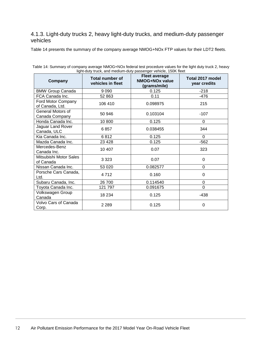#### <span id="page-15-0"></span>4.1.3. Light-duty trucks 2, heavy light-duty trucks, and medium-duty passenger vehicles

[Table 14](#page-15-1) presents the summary of the company average NMOG+NOx FTP values for their LDT2 fleets.

| Company                               | Total number of<br>vehicles in fleet | "y" aay wan, and modium day paccongor volume, room noon<br><b>Fleet average</b><br><b>NMOG+NOx value</b><br>(grams/mile) | Total 2017 model<br>year credits |
|---------------------------------------|--------------------------------------|--------------------------------------------------------------------------------------------------------------------------|----------------------------------|
| <b>BMW Group Canada</b>               | 9 0 9 0                              | 0.125                                                                                                                    | $-218$                           |
| FCA Canada Inc.                       | 52 863                               | 0.11                                                                                                                     | $-476$                           |
| Ford Motor Company<br>of Canada, Ltd. | 106 410                              | 0.098975                                                                                                                 | 215                              |
| General Motors of<br>Canada Company   | 50 946                               | 0.103104                                                                                                                 | $-107$                           |
| Honda Canada Inc.                     | 10800                                | 0.125                                                                                                                    | $\Omega$                         |
| Jaguar Land Rover<br>Canada, ULC      | 6857                                 | 0.038455                                                                                                                 | 344                              |
| Kia Canada Inc.                       | 6812                                 | 0.125                                                                                                                    | $\mathbf 0$                      |
| Mazda Canada Inc.                     | 23 4 28                              | 0.125                                                                                                                    | $-562$                           |
| Mercedes-Benz<br>Canada Inc.          | 10 407                               | 0.07                                                                                                                     | 323                              |
| Mitsubishi Motor Sales<br>of Canada   | 3 3 2 3                              | 0.07                                                                                                                     | $\Omega$                         |
| Nissan Canada Inc.                    | 53 0 20                              | 0.082577                                                                                                                 | $\Omega$                         |
| Porsche Cars Canada,<br>Ltd.          | 4712                                 | 0.160                                                                                                                    | 0                                |
| Subaru Canada, Inc.                   | 26 700                               | 0.114540                                                                                                                 | 0                                |
| Toyota Canada Inc.                    | 121 797                              | 0.091675                                                                                                                 | $\overline{0}$                   |
| Volkswagen Group<br>Canada            | 18 2 34                              | 0.125                                                                                                                    | $-438$                           |
| Volvo Cars of Canada<br>Corp.         | 2 2 8 9                              | 0.125                                                                                                                    | 0                                |

<span id="page-15-1"></span>Table 14: Summary of company average NMOG+NOx federal test procedure values for the light duty truck 2, heavy light-duty truck, and medium-duty passenger vehicle, 150K fleet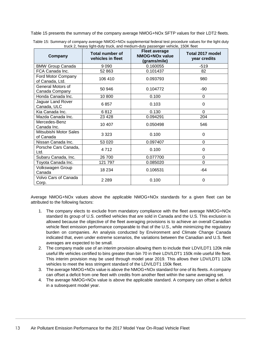[Table 15](#page-16-0) presents the summary of the company average NMOG+NOx SFTP values for their LDT2 fleets.

| Company                               | <b>Total number of</b><br>vehicles in fleet | <b>Fleet average</b><br>NMOG+NOx value<br>(grams/mile) | Total 2017 model<br>year credits |
|---------------------------------------|---------------------------------------------|--------------------------------------------------------|----------------------------------|
| <b>BMW Group Canada</b>               | 9 0 9 0                                     | 0.160055                                               | $-519$                           |
| FCA Canada Inc.                       | 52 863                                      | 0.101437                                               | 82                               |
| Ford Motor Company<br>of Canada, Ltd. | 106 410                                     | 0.093793                                               | 980                              |
| General Motors of<br>Canada Company   | 50 946                                      | 0.104772                                               | $-90$                            |
| Honda Canada Inc.                     | 10 800                                      | 0.100                                                  | 0                                |
| Jaguar Land Rover<br>Canada, ULC      | 6857                                        | 0.103                                                  | 0                                |
| Kia Canada Inc.                       | 6812                                        | 0.130                                                  | 0                                |
| Mazda Canada Inc.                     | 23 4 28                                     | 0.094291                                               | 204                              |
| Mercedes-Benz<br>Canada Inc.          | 10 407                                      | 0.050498                                               | 546                              |
| Mitsubishi Motor Sales<br>of Canada   | 3 3 2 3                                     | 0.100                                                  | $\Omega$                         |
| Nissan Canada Inc.                    | 53 0 20                                     | 0.097407                                               | 0                                |
| Porsche Cars Canada,<br>Ltd.          | 4712                                        | 0.100                                                  | 0                                |
| Subaru Canada, Inc.                   | 26 700                                      | 0.077700                                               | $\Omega$                         |
| Toyota Canada Inc.                    | 121 797                                     | 0.085020                                               | 0                                |
| Volkswagen Group<br>Canada            | 18 234                                      | 0.106531                                               | $-64$                            |
| Volvo Cars of Canada<br>Corp.         | 2 2 8 9                                     | 0.100                                                  | 0                                |

<span id="page-16-0"></span>

| Table 15: Summary of company average NMOG+NOx supplemental federal test procedure values for the light duty |
|-------------------------------------------------------------------------------------------------------------|
| truck 2, heavy light-duty truck, and medium-duty passenger vehicle, 150K fleet                              |

Average NMOG+NOx values above the applicable NMOG+NOx standards for a given fleet can be attributed to the following factors:

- 1. The company elects to exclude from mandatory compliance with the fleet average NMOG+NOx standard its group of U.S. certified vehicles that are sold in Canada and the U.S. This exclusion is allowed because the objective of the fleet averaging provisions is to achieve an overall Canadian vehicle fleet emission performance comparable to that of the U.S., while minimizing the regulatory burden on companies. An analysis conducted by Environment and Climate Change Canada indicated that, even under extreme scenarios, the variations between the Canadian and U.S. fleet averages are expected to be small.
- 2. The company made use of an interim provision allowing them to include their LDV/LDT1 120k mile useful life vehicles certified to bins greater than bin 70 in their LDV/LDT1 150k mile useful life fleet. This interim provision may be used through model year 2019. This allows their LDV/LDT1 120k vehicles to meet the less stringent standard of the LDV/LDT1 150k fleet.
- 3. The average NMOG+NOx value is above the NMOG+NOx standard for one of its fleets. A company can offset a deficit from one fleet with credits from another fleet within the same averaging set.
- 4. The average NMOG+NOx value is above the applicable standard. A company can offset a deficit in a subsequent model year.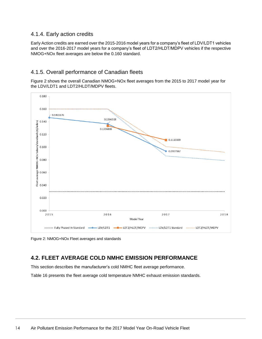#### <span id="page-17-0"></span>4.1.4. Early action credits

Early Action credits are earned over the 2015-2016 model years for a company's fleet of LDV/LDT1 vehicles and over the 2016-2017 model years for a company's fleet of LDT2/HLDT/MDPV vehicles if the respective NMOG+NOx fleet averages are below the 0.160 standard.

#### <span id="page-17-1"></span>4.1.5. Overall performance of Canadian fleets

[Figure 2](#page-17-3) shows the overall Canadian NMOG+NOx fleet averages from the 2015 to 2017 model year for the LDV/LDT1 and LDT2/HLDT/MDPV fleets.



<span id="page-17-3"></span>Figure 2: NMOG+NOx Fleet averages and standards

### <span id="page-17-2"></span>**4.2. FLEET AVERAGE COLD NMHC EMISSION PERFORMANCE**

This section describes the manufacturer's cold NMHC fleet average performance.

[Table 16](#page-18-1) presents the fleet average cold temperature NMHC exhaust emission standards.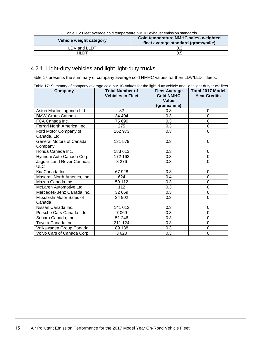<span id="page-18-1"></span>

| Vehicle weight category | Cold temperature NMHC sales- weighted<br>fleet average standard (grams/mile) |
|-------------------------|------------------------------------------------------------------------------|
| LDV and LLDT            | 0.3                                                                          |
| <b>HLDT</b>             | 0.5                                                                          |

Table 16: Fleet average cold temperature NMHC exhaust emission standards

#### <span id="page-18-0"></span>4.2.1. Light-duty vehicles and light light-duty trucks

[Table 17](#page-18-2) presents the summary of company average cold NMHC values for their LDV/LLDT fleets.

<span id="page-18-2"></span>

|  | Table 17: Summary of company average cold NMHC values for the light-duty vehicle and light light-duty truck fleet |  |  |
|--|-------------------------------------------------------------------------------------------------------------------|--|--|
|  |                                                                                                                   |  |  |
|  |                                                                                                                   |  |  |

| Company                      | <b>Total Number of</b><br><b>Vehicles in Fleet</b> | <b>Fleet Average</b><br><b>Cold NMHC</b> | <b>Total 2017 Model</b><br><b>Year Credits</b> |
|------------------------------|----------------------------------------------------|------------------------------------------|------------------------------------------------|
|                              |                                                    | Value                                    |                                                |
|                              |                                                    | (grams/mile)                             |                                                |
| Aston Martin Lagonda Ltd.    | 82                                                 | 0.3                                      | 0                                              |
| <b>BMW Group Canada</b>      | 34 404                                             | 0.3                                      | 0                                              |
| FCA Canada Inc.              | 75 690                                             | 0.3                                      | 0                                              |
| Ferrari North America, Inc.  | 275                                                | 0.3                                      | $\overline{0}$                                 |
| Ford Motor Company of        | 162 973                                            | 0.3                                      | $\Omega$                                       |
| Canada, Ltd.                 |                                                    |                                          |                                                |
| General Motors of Canada     | 131 579                                            | 0.3                                      | $\Omega$                                       |
| Company                      |                                                    |                                          |                                                |
| Honda Canada Inc.            | 183 613                                            | 0.3                                      | 0                                              |
| Hyundai Auto Canada Corp.    | 172 162                                            | 0.3                                      | 0                                              |
| Jaguar Land Rover Canada,    | 8 2 7 6                                            | 0.3                                      | $\Omega$                                       |
| <b>ULC</b>                   |                                                    |                                          |                                                |
| Kia Canada Inc.              | 67928                                              | 0.3                                      | 0                                              |
| Maserati North America, Inc. | 624                                                | 0.4                                      | 0                                              |
| Mazda Canada Inc.            | 59 112                                             | 0.3                                      | 0                                              |
| McLaren Automotive Ltd.      | 112                                                | 0.3                                      | 0                                              |
| Mercedes-Benz Canada Inc.    | 32 669                                             | 0.3                                      | 0                                              |
| Mitsubishi Motor Sales of    | 24 902                                             | 0.3                                      | $\overline{0}$                                 |
| Canada                       |                                                    |                                          |                                                |
| Nissan Canada Inc.           | 141 012                                            | 0.3                                      | 0                                              |
| Porsche Cars Canada, Ltd.    | 7 069                                              | 0.3                                      | $\overline{0}$                                 |
| Subaru Canada, Inc.          | 51 246                                             | 0.3                                      | 0                                              |
| Toyota Canada Inc.           | 211 124                                            | 0.3                                      | $\overline{0}$                                 |
| Volkswagen Group Canada      | 89 138                                             | 0.3                                      | 0                                              |
| Volvo Cars of Canada Corp.   | 3620                                               | 0.3                                      | 0                                              |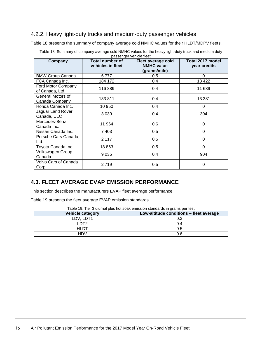#### <span id="page-19-0"></span>4.2.2. Heavy light-duty trucks and medium-duty passenger vehicles

[Table 18](#page-19-2) presents the summary of company average cold NMHC values for their HLDT/MDPV fleets.

<span id="page-19-2"></span>

| Company                               | Total number of<br>vehicles in fleet | passongor volnois noot<br>Fleet average cold<br><b>NMHC value</b><br>(grams/mile) | Total 2017 model<br>year credits |
|---------------------------------------|--------------------------------------|-----------------------------------------------------------------------------------|----------------------------------|
| <b>BMW Group Canada</b>               | 6777                                 | 0.5                                                                               | 0                                |
| FCA Canada Inc.                       | 184 172                              | 0.4                                                                               | 18 4 22                          |
| Ford Motor Company<br>of Canada, Ltd. | 116889                               | 0.4                                                                               | 11 689                           |
| General Motors of<br>Canada Company   | 133 811                              | 0.4                                                                               | 13 3 8 1                         |
| Honda Canada Inc.                     | 10 950                               | 0.4                                                                               | 0                                |
| Jaguar Land Rover<br>Canada, ULC      | 3 0 3 9                              | 0.4                                                                               | 304                              |
| Mercedes-Benz<br>Canada Inc.          | 11 964                               | 0.6                                                                               | $\mathbf 0$                      |
| Nissan Canada Inc.                    | 7 4 0 3                              | 0.5                                                                               | 0                                |
| Porsche Cars Canada,<br>Ltd.          | 2 1 1 7                              | 0.5                                                                               | 0                                |
| Toyota Canada Inc.                    | 18863                                | 0.5                                                                               | 0                                |
| Volkswagen Group<br>Canada            | 9 0 3 5                              | 0.4                                                                               | 904                              |
| Volvo Cars of Canada<br>Corp.         | 2719                                 | 0.5                                                                               | 0                                |

Table 18: Summary of company average cold NMHC values for the heavy light-duty truck and medium duty passenger vehicle fleet

#### <span id="page-19-1"></span>**4.3. FLEET AVERAGE EVAP EMISSION PERFORMANCE**

This section describes the manufacturers EVAP fleet average performance.

[Table 19](#page-19-3) presents the fleet average EVAP emission standards.

<span id="page-19-3"></span>

| Table 19. Tiel o uluffiai piùs fiùi suan emission siamuarus in gràms per test |                                         |  |  |
|-------------------------------------------------------------------------------|-----------------------------------------|--|--|
| Vehicle category                                                              | Low-altitude conditions - fleet average |  |  |
| LDV. LDT1                                                                     | 0.3                                     |  |  |
| פדח ו                                                                         | 0.4                                     |  |  |
| HLDT                                                                          | 0.5                                     |  |  |
| HDV                                                                           | 0.6                                     |  |  |

Table 19: Tier 3 diurnal plus hot soak emission standards in grams per test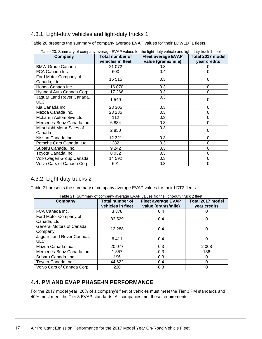#### <span id="page-20-0"></span>4.3.1. Light-duty vehicles and light-duty trucks 1

[Table 20](#page-20-3) presents the summary of company average EVAP values for their LDV/LDT1 fleets.

| Company                               | <b>Total number of</b><br>vehicles in fleet | <b>Fleet average EVAP</b><br>value (grams/mile) | Total 2017 model<br>year credits |
|---------------------------------------|---------------------------------------------|-------------------------------------------------|----------------------------------|
| <b>BMW Group Canada</b>               | 21 0 72                                     | 0.3                                             |                                  |
| FCA Canada Inc.                       | 600                                         | 0.4                                             |                                  |
| Ford Motor Company of<br>Canada, Ltd. | 15 5 15                                     | 0.3                                             | 0                                |
| Honda Canada Inc.                     | 116 070                                     | 0.3                                             | 0                                |
| Hyundai Auto Canada Corp.             | 117 266                                     | 0.3                                             | 0                                |
| Jaguar Land Rover Canada,<br>ULC.     | 1 549                                       | 0.3                                             | 0                                |
| Kia Canada Inc.                       | 23 305                                      | 0.3                                             | 0                                |
| Mazda Canada Inc.                     | 23 2 85                                     | 0.3                                             | 0                                |
| McLaren Automotive Ltd.               | 112                                         | 0.3                                             | $\Omega$                         |
| Mercedes-Benz Canada Inc.             | 6834                                        | 0.3                                             | ი                                |
| Mitsubishi Motor Sales of<br>Canada   | 2850                                        | 0.3                                             | 0                                |
| Nissan Canada Inc.                    | 12 3 21                                     | 0.3                                             | $\Omega$                         |
| Porsche Cars Canada, Ltd.             | 382                                         | 0.3                                             | 0                                |
| Subaru Canada, Inc.                   | 9 2 4 2                                     | 0.3                                             | 0                                |
| Toyota Canada Inc.                    | 8 0 3 2                                     | 0.3                                             | 0                                |
| Volkswagen Group Canada               | 14 592                                      | 0.3                                             | 0                                |
| Volvo Cars of Canada Corp.            | 691                                         | 0.3                                             | 0                                |

<span id="page-20-3"></span>Table 20: Summary of company average EVAP values for the light-duty vehicle and light duty truck 1 fleet

#### <span id="page-20-1"></span>4.3.2. Light-duty trucks 2

[Table 21](#page-20-4) presents the summary of company average EVAP values for their LDT2 fleets.

<span id="page-20-4"></span>

| Table 21: Summary of company average EVAP values fro the light-duty truck 2 fleet |                                      |                                                 |                                  |  |  |  |
|-----------------------------------------------------------------------------------|--------------------------------------|-------------------------------------------------|----------------------------------|--|--|--|
| Company                                                                           | Total number of<br>vehicles in fleet | <b>Fleet average EVAP</b><br>value (grams/mile) | Total 2017 model<br>year credits |  |  |  |
| FCA Canada Inc.                                                                   | 3 3 7 8                              | 0.4                                             | 0                                |  |  |  |
| Ford Motor Company of<br>Canada, Ltd.                                             | 83 5 29                              | 0.4                                             | 0                                |  |  |  |
| General Motors of Canada<br>Company                                               | 12 2 8 8                             | 0.4                                             | 0                                |  |  |  |
| Jaguar Land Rover Canada,<br><b>ULC</b>                                           | 6411                                 | 0.4                                             | 0                                |  |  |  |
| Mazda Canada Inc.                                                                 | 20 077                               | 0.3                                             | 2 0 0 8                          |  |  |  |
| Mercedes-Benz Canada Inc.                                                         | 1 357                                | 0.3                                             | 136                              |  |  |  |
| Subaru Canada, Inc.                                                               | 196                                  | 0.3                                             | O                                |  |  |  |
| Toyota Canada Inc.                                                                | 44 622                               | 0.4                                             | 0                                |  |  |  |
| Volvo Cars of Canada Corp.                                                        | 220                                  | 0.3                                             | 0                                |  |  |  |

#### <span id="page-20-2"></span>**4.4. PM AND EVAP PHASE-IN PERFORMANCE**

For the 2017 model year, 20% of a company's fleet of vehicles must meet the Tier 3 PM standards and 40% must meet the Tier 3 EVAP standards. All companies met these requirements.